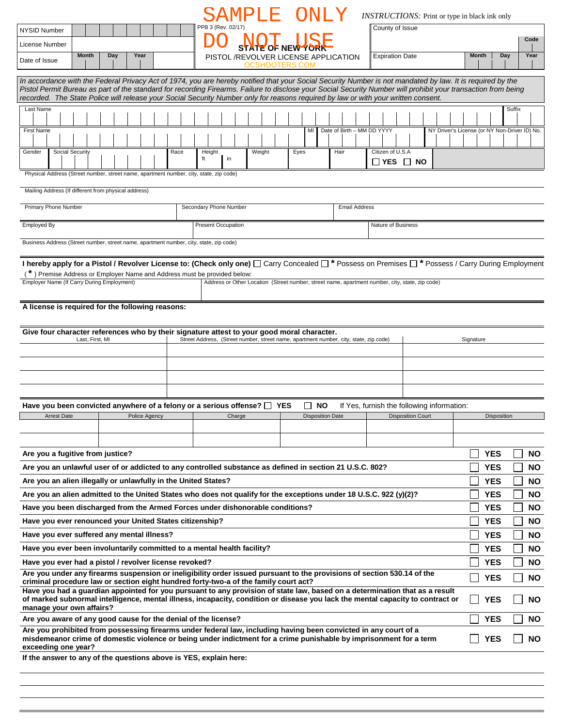|                                                                                                                                                                                                                                                                                                                              |                                                         | SAMPLE ONLY                                                                                                                                                                                                                            |                |                                     |                            |                        | <i><b>INSTRUCTIONS:</b></i> Print or type in black ink only            |                                               |             |  |
|------------------------------------------------------------------------------------------------------------------------------------------------------------------------------------------------------------------------------------------------------------------------------------------------------------------------------|---------------------------------------------------------|----------------------------------------------------------------------------------------------------------------------------------------------------------------------------------------------------------------------------------------|----------------|-------------------------------------|----------------------------|------------------------|------------------------------------------------------------------------|-----------------------------------------------|-------------|--|
| <b>NYSID Number</b>                                                                                                                                                                                                                                                                                                          |                                                         | PPB 3 (Rev. 02/17)                                                                                                                                                                                                                     |                |                                     |                            | County of Issue        |                                                                        |                                               |             |  |
| License Number                                                                                                                                                                                                                                                                                                               |                                                         |                                                                                                                                                                                                                                        |                | <b>NOT LISE</b>                     |                            |                        |                                                                        |                                               | Code        |  |
| Month<br>Date of Issue                                                                                                                                                                                                                                                                                                       | Day<br>Year                                             |                                                                                                                                                                                                                                        |                | PISTOL/REVOLVER LICENSE APPLICATION |                            | <b>Expiration Date</b> |                                                                        | <b>Month</b>                                  | Day<br>Year |  |
|                                                                                                                                                                                                                                                                                                                              |                                                         |                                                                                                                                                                                                                                        | OCSHOOTERS.COM |                                     |                            |                        |                                                                        |                                               |             |  |
| In accordance with the Federal Privacy Act of 1974, you are hereby notified that your Social Security Number is not mandated by law. It is required by the<br>Pistol Permit Bureau as part of the standard for recording Firearms. Failure to disclose your Social Security Number will prohibit your transaction from being |                                                         | recorded. The State Police will release your Social Security Number only for reasons required by law or with your written consent.                                                                                                     |                |                                     |                            |                        |                                                                        |                                               |             |  |
| Last Name                                                                                                                                                                                                                                                                                                                    |                                                         |                                                                                                                                                                                                                                        |                |                                     |                            |                        |                                                                        |                                               | Suffix      |  |
| <b>First Name</b>                                                                                                                                                                                                                                                                                                            |                                                         |                                                                                                                                                                                                                                        |                | MI                                  | Date of Birth - MM DD YYYY |                        |                                                                        | NY Driver's License (or NY Non-Driver ID) No. |             |  |
|                                                                                                                                                                                                                                                                                                                              |                                                         |                                                                                                                                                                                                                                        |                |                                     |                            |                        |                                                                        |                                               |             |  |
| Social Security<br>Gender                                                                                                                                                                                                                                                                                                    |                                                         | Race<br>Height<br>in<br>ft                                                                                                                                                                                                             | Weight         | Eyes                                | Hair                       | Citizen of U.S.A       |                                                                        |                                               |             |  |
| Physical Address (Street number, street name, apartment number, city, state, zip code)                                                                                                                                                                                                                                       |                                                         |                                                                                                                                                                                                                                        |                |                                     |                            | $\Box$ YES $\Box$ NO   |                                                                        |                                               |             |  |
|                                                                                                                                                                                                                                                                                                                              |                                                         |                                                                                                                                                                                                                                        |                |                                     |                            |                        |                                                                        |                                               |             |  |
| Mailing Address (If different from physical address)                                                                                                                                                                                                                                                                         |                                                         |                                                                                                                                                                                                                                        |                |                                     |                            |                        |                                                                        |                                               |             |  |
| Primary Phone Number                                                                                                                                                                                                                                                                                                         |                                                         | Secondary Phone Number                                                                                                                                                                                                                 |                |                                     | <b>Email Address</b>       |                        |                                                                        |                                               |             |  |
| Employed By                                                                                                                                                                                                                                                                                                                  |                                                         | <b>Present Occupation</b>                                                                                                                                                                                                              |                |                                     |                            | Nature of Business     |                                                                        |                                               |             |  |
| Business Address (Street number, street name, apartment number, city, state, zip code)                                                                                                                                                                                                                                       |                                                         |                                                                                                                                                                                                                                        |                |                                     |                            |                        |                                                                        |                                               |             |  |
|                                                                                                                                                                                                                                                                                                                              |                                                         |                                                                                                                                                                                                                                        |                |                                     |                            |                        |                                                                        |                                               |             |  |
|                                                                                                                                                                                                                                                                                                                              |                                                         | I hereby apply for a Pistol / Revolver License to: (Check only one) [ Carry Concealed [ * Possess on Premises [ * Possess / Carry During Employment                                                                                    |                |                                     |                            |                        |                                                                        |                                               |             |  |
| Employer Name (If Carry During Employment)                                                                                                                                                                                                                                                                                   |                                                         | ) Premise Address or Employer Name and Address must be provided below:<br>Address or Other Location (Street number, street name, apartment number, city, state, zip code)                                                              |                |                                     |                            |                        |                                                                        |                                               |             |  |
|                                                                                                                                                                                                                                                                                                                              |                                                         |                                                                                                                                                                                                                                        |                |                                     |                            |                        |                                                                        |                                               |             |  |
| A license is required for the following reasons:                                                                                                                                                                                                                                                                             |                                                         |                                                                                                                                                                                                                                        |                |                                     |                            |                        |                                                                        |                                               |             |  |
|                                                                                                                                                                                                                                                                                                                              |                                                         |                                                                                                                                                                                                                                        |                |                                     |                            |                        |                                                                        |                                               |             |  |
| Last, First, MI                                                                                                                                                                                                                                                                                                              |                                                         | Give four character references who by their signature attest to your good moral character.<br>Street Address, (Street number, street name, apartment number, city, state, zip code)                                                    |                |                                     |                            |                        |                                                                        | Signature                                     |             |  |
|                                                                                                                                                                                                                                                                                                                              |                                                         |                                                                                                                                                                                                                                        |                |                                     |                            |                        |                                                                        |                                               |             |  |
|                                                                                                                                                                                                                                                                                                                              |                                                         |                                                                                                                                                                                                                                        |                |                                     |                            |                        |                                                                        |                                               |             |  |
|                                                                                                                                                                                                                                                                                                                              |                                                         |                                                                                                                                                                                                                                        |                |                                     |                            |                        |                                                                        |                                               |             |  |
|                                                                                                                                                                                                                                                                                                                              |                                                         |                                                                                                                                                                                                                                        |                |                                     |                            |                        |                                                                        |                                               |             |  |
|                                                                                                                                                                                                                                                                                                                              | Arrest Date <b>Network</b> Police Agency <b>Network</b> | Have you been convicted anywhere of a felony or a serious offense? $\Box$ YES<br>Charge                                                                                                                                                |                | $\Box$ NO<br>Disposition Date       |                            |                        | If Yes, furnish the following information:<br><b>Disposition Court</b> | <b>Disposition</b>                            |             |  |
|                                                                                                                                                                                                                                                                                                                              |                                                         |                                                                                                                                                                                                                                        |                |                                     |                            |                        |                                                                        |                                               |             |  |
|                                                                                                                                                                                                                                                                                                                              |                                                         |                                                                                                                                                                                                                                        |                |                                     |                            |                        |                                                                        |                                               |             |  |
| Are you a fugitive from justice?                                                                                                                                                                                                                                                                                             |                                                         |                                                                                                                                                                                                                                        |                |                                     |                            |                        |                                                                        | <b>YES</b>                                    | <b>NO</b>   |  |
|                                                                                                                                                                                                                                                                                                                              |                                                         | Are you an unlawful user of or addicted to any controlled substance as defined in section 21 U.S.C. 802?                                                                                                                               |                |                                     |                            |                        |                                                                        | <b>YES</b>                                    | <b>NO</b>   |  |
| Are you an alien illegally or unlawfully in the United States?                                                                                                                                                                                                                                                               |                                                         |                                                                                                                                                                                                                                        |                |                                     |                            |                        |                                                                        | <b>YES</b>                                    | <b>NO</b>   |  |
|                                                                                                                                                                                                                                                                                                                              |                                                         | Are you an alien admitted to the United States who does not qualify for the exceptions under 18 U.S.C. 922 (y)(2)?                                                                                                                     |                |                                     |                            |                        |                                                                        | <b>YES</b>                                    | <b>NO</b>   |  |
|                                                                                                                                                                                                                                                                                                                              |                                                         | Have you been discharged from the Armed Forces under dishonorable conditions?                                                                                                                                                          |                |                                     |                            |                        |                                                                        | <b>YES</b>                                    | <b>NO</b>   |  |
| Have you ever renounced your United States citizenship?                                                                                                                                                                                                                                                                      |                                                         |                                                                                                                                                                                                                                        |                |                                     |                            |                        |                                                                        | <b>YES</b>                                    | <b>NO</b>   |  |
| Have you ever suffered any mental illness?                                                                                                                                                                                                                                                                                   |                                                         |                                                                                                                                                                                                                                        |                |                                     |                            |                        |                                                                        | <b>YES</b>                                    | <b>NO</b>   |  |
|                                                                                                                                                                                                                                                                                                                              |                                                         | Have you ever been involuntarily committed to a mental health facility?                                                                                                                                                                |                |                                     |                            |                        |                                                                        | <b>YES</b>                                    | <b>NO</b>   |  |
| Have you ever had a pistol / revolver license revoked?                                                                                                                                                                                                                                                                       |                                                         |                                                                                                                                                                                                                                        |                |                                     |                            |                        |                                                                        | <b>YES</b>                                    | <b>NO</b>   |  |
|                                                                                                                                                                                                                                                                                                                              |                                                         | Are you under any firearms suspension or ineligibility order issued pursuant to the provisions of section 530.14 of the<br>criminal procedure law or section eight hundred forty-two-a of the family court act?                        |                |                                     |                            |                        |                                                                        | <b>YES</b>                                    | <b>NO</b>   |  |
|                                                                                                                                                                                                                                                                                                                              |                                                         | Have you had a guardian appointed for you pursuant to any provision of state law, based on a determination that as a result                                                                                                            |                |                                     |                            |                        |                                                                        |                                               |             |  |
| manage your own affairs?                                                                                                                                                                                                                                                                                                     |                                                         | of marked subnormal intelligence, mental illness, incapacity, condition or disease you lack the mental capacity to contract or                                                                                                         |                |                                     |                            |                        |                                                                        | <b>YES</b>                                    | <b>NO</b>   |  |
| Are you aware of any good cause for the denial of the license?                                                                                                                                                                                                                                                               |                                                         |                                                                                                                                                                                                                                        |                |                                     |                            |                        |                                                                        | <b>YES</b>                                    | <b>NO</b>   |  |
| exceeding one year?                                                                                                                                                                                                                                                                                                          |                                                         | Are you prohibited from possessing firearms under federal law, including having been convicted in any court of a<br>misdemeanor crime of domestic violence or being under indictment for a crime punishable by imprisonment for a term |                |                                     |                            |                        |                                                                        | <b>YES</b>                                    | <b>NO</b>   |  |
|                                                                                                                                                                                                                                                                                                                              |                                                         | If the answer to any of the questions above is YES, explain here:                                                                                                                                                                      |                |                                     |                            |                        |                                                                        |                                               |             |  |